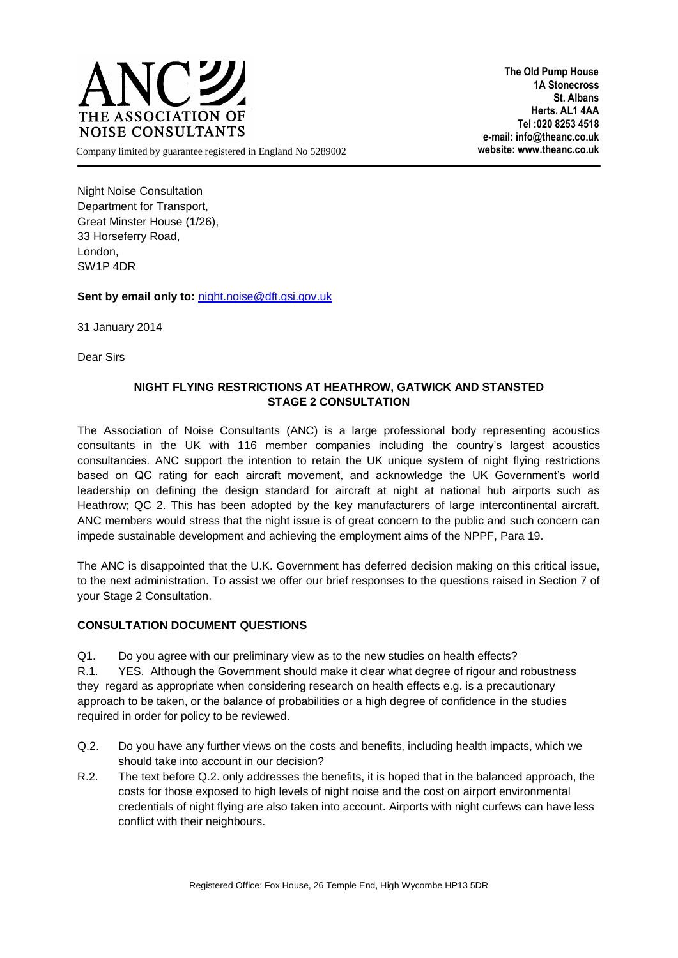

**The Old Pump House 1A Stonecross St. Albans Herts. AL1 4AA Tel :020 8253 4518 e-mail: info@theanc.co.uk**

Company limited by guarantee registered in England No 5289002 **website: www.theanc.co.uk**

Night Noise Consultation Department for Transport, Great Minster House (1/26), 33 Horseferry Road, London, SW1P 4DR

**Sent by email only to:** [night.noise@dft.gsi.gov.uk](mailto:night.noise@dft.gsi.gov.uk)

31 January 2014

Dear Sirs

## **NIGHT FLYING RESTRICTIONS AT HEATHROW, GATWICK AND STANSTED STAGE 2 CONSULTATION**

The Association of Noise Consultants (ANC) is a large professional body representing acoustics consultants in the UK with 116 member companies including the country's largest acoustics consultancies. ANC support the intention to retain the UK unique system of night flying restrictions based on QC rating for each aircraft movement, and acknowledge the UK Government's world leadership on defining the design standard for aircraft at night at national hub airports such as Heathrow; QC 2. This has been adopted by the key manufacturers of large intercontinental aircraft. ANC members would stress that the night issue is of great concern to the public and such concern can impede sustainable development and achieving the employment aims of the NPPF, Para 19.

The ANC is disappointed that the U.K. Government has deferred decision making on this critical issue, to the next administration. To assist we offer our brief responses to the questions raised in Section 7 of your Stage 2 Consultation.

## **CONSULTATION DOCUMENT QUESTIONS**

Q1. Do you agree with our preliminary view as to the new studies on health effects?

R.1. YES. Although the Government should make it clear what degree of rigour and robustness they regard as appropriate when considering research on health effects e.g. is a precautionary approach to be taken, or the balance of probabilities or a high degree of confidence in the studies required in order for policy to be reviewed.

- Q.2. Do you have any further views on the costs and benefits, including health impacts, which we should take into account in our decision?
- R.2. The text before Q.2. only addresses the benefits, it is hoped that in the balanced approach, the costs for those exposed to high levels of night noise and the cost on airport environmental credentials of night flying are also taken into account. Airports with night curfews can have less conflict with their neighbours.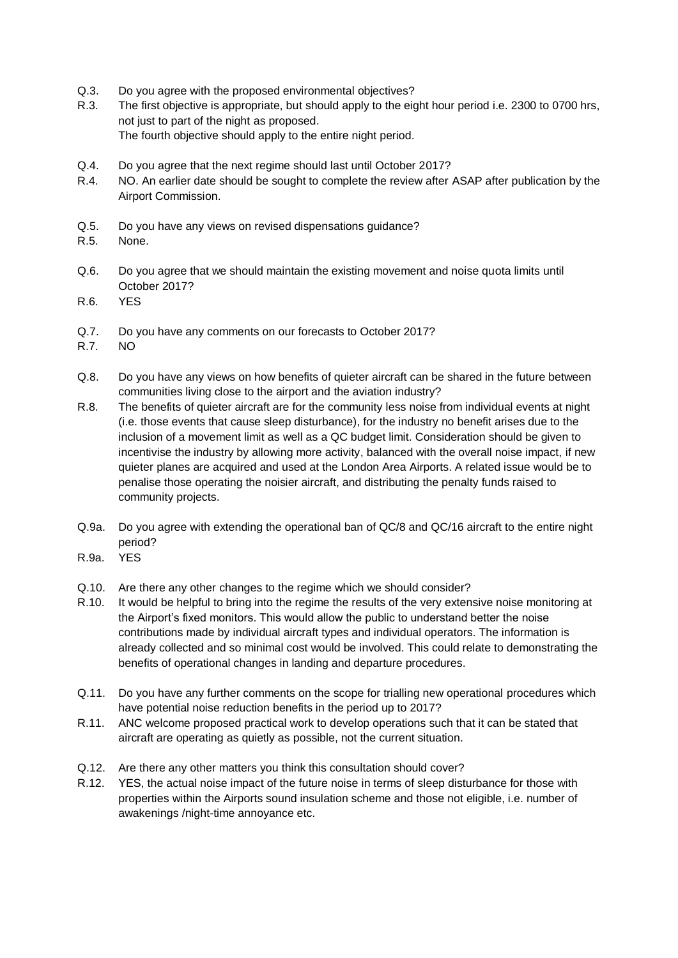- Q.3. Do you agree with the proposed environmental objectives?
- R.3. The first objective is appropriate, but should apply to the eight hour period i.e. 2300 to 0700 hrs, not just to part of the night as proposed. The fourth objective should apply to the entire night period.
- Q.4. Do you agree that the next regime should last until October 2017?
- R.4. NO. An earlier date should be sought to complete the review after ASAP after publication by the Airport Commission.
- Q.5. Do you have any views on revised dispensations guidance?
- R.5. None.
- Q.6. Do you agree that we should maintain the existing movement and noise quota limits until October 2017?
- R.6. YES
- Q.7. Do you have any comments on our forecasts to October 2017?
- R.7. NO
- Q.8. Do you have any views on how benefits of quieter aircraft can be shared in the future between communities living close to the airport and the aviation industry?
- R.8. The benefits of quieter aircraft are for the community less noise from individual events at night (i.e. those events that cause sleep disturbance), for the industry no benefit arises due to the inclusion of a movement limit as well as a QC budget limit. Consideration should be given to incentivise the industry by allowing more activity, balanced with the overall noise impact, if new quieter planes are acquired and used at the London Area Airports. A related issue would be to penalise those operating the noisier aircraft, and distributing the penalty funds raised to community projects.
- Q.9a. Do you agree with extending the operational ban of QC/8 and QC/16 aircraft to the entire night period?
- R.9a. YES
- Q.10. Are there any other changes to the regime which we should consider?
- R.10. It would be helpful to bring into the regime the results of the very extensive noise monitoring at the Airport's fixed monitors. This would allow the public to understand better the noise contributions made by individual aircraft types and individual operators. The information is already collected and so minimal cost would be involved. This could relate to demonstrating the benefits of operational changes in landing and departure procedures.
- Q.11. Do you have any further comments on the scope for trialling new operational procedures which have potential noise reduction benefits in the period up to 2017?
- R.11. ANC welcome proposed practical work to develop operations such that it can be stated that aircraft are operating as quietly as possible, not the current situation.
- Q.12. Are there any other matters you think this consultation should cover?
- R.12. YES, the actual noise impact of the future noise in terms of sleep disturbance for those with properties within the Airports sound insulation scheme and those not eligible, i.e. number of awakenings /night-time annoyance etc.